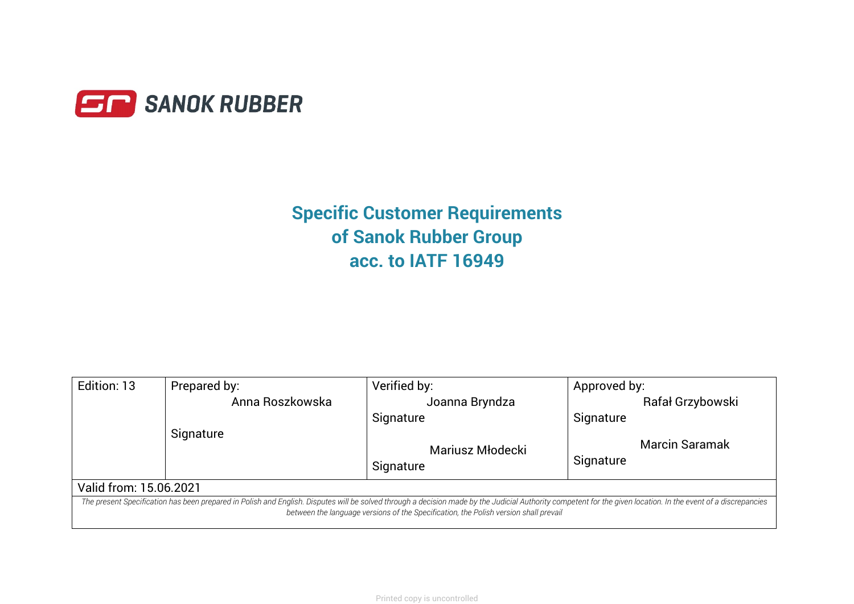

# **Specific Customer Requirements of Sanok Rubber Group acc. to IATF 16949**

| Edition: 13                                                                                                                                                                                                                                                                                            | Prepared by:    | Verified by:     | Approved by:     |  |
|--------------------------------------------------------------------------------------------------------------------------------------------------------------------------------------------------------------------------------------------------------------------------------------------------------|-----------------|------------------|------------------|--|
|                                                                                                                                                                                                                                                                                                        | Anna Roszkowska | Joanna Bryndza   | Rafał Grzybowski |  |
|                                                                                                                                                                                                                                                                                                        |                 | Signature        | Signature        |  |
|                                                                                                                                                                                                                                                                                                        | Signature       |                  |                  |  |
|                                                                                                                                                                                                                                                                                                        |                 | Mariusz Młodecki | Marcin Saramak   |  |
|                                                                                                                                                                                                                                                                                                        |                 | Signature        | Signature        |  |
| Valid from: 15.06.2021                                                                                                                                                                                                                                                                                 |                 |                  |                  |  |
| The present Specification has been prepared in Polish and English. Disputes will be solved through a decision made by the Judicial Authority competent for the given location. In the event of a discrepancies<br>between the language versions of the Specification, the Polish version shall prevail |                 |                  |                  |  |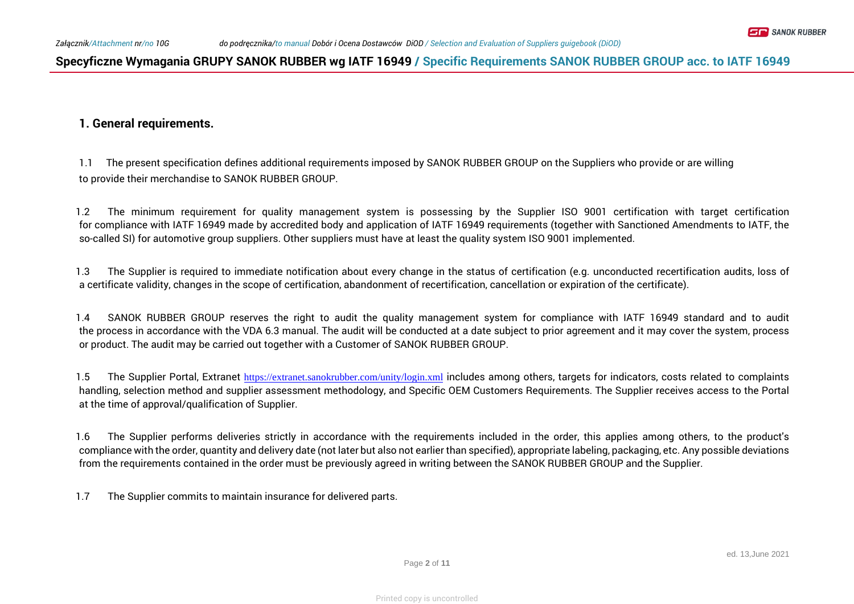### **1. General requirements.**

1.1 The present specification defines additional requirements imposed by SANOK RUBBER GROUP on the Suppliers who provide or are willing to provide their merchandise to SANOK RUBBER GROUP.

1.2 The minimum requirement for quality management system is possessing by the Supplier ISO 9001 certification with target certification for compliance with IATF 16949 made by accredited body and application of IATF 16949 requirements (together with Sanctioned Amendments to IATF, the so-called SI) for automotive group suppliers. Other suppliers must have at least the quality system ISO 9001 implemented.

1.3 The Supplier is required to immediate notification about every change in the status of certification (e.g. unconducted recertification audits, loss of a certificate validity, changes in the scope of certification, abandonment of recertification, cancellation or expiration of the certificate).

1.4 SANOK RUBBER GROUP reserves the right to audit the quality management system for compliance with IATF 16949 standard and to audit the process in accordance with the VDA 6.3 manual. The audit will be conducted at a date subject to prior agreement and it may cover the system, process or product. The audit may be carried out together with a Customer of SANOK RUBBER GROUP.

1.5 The Supplier Portal, Extranet <https://extranet.sanokrubber.com/unity/login.xml> includes among others, targets for indicators, costs related to complaints handling, selection method and supplier assessment methodology, and Specific OEM Customers Requirements. The Supplier receives access to the Portal at the time of approval/qualification of Supplier.

1.6 The Supplier performs deliveries strictly in accordance with the requirements included in the order, this applies among others, to the product's compliance with the order, quantity and delivery date (not later but also not earlier than specified), appropriate labeling, packaging, etc. Any possible deviations from the requirements contained in the order must be previously agreed in writing between the SANOK RUBBER GROUP and the Supplier.

1.7 The Supplier commits to maintain insurance for delivered parts.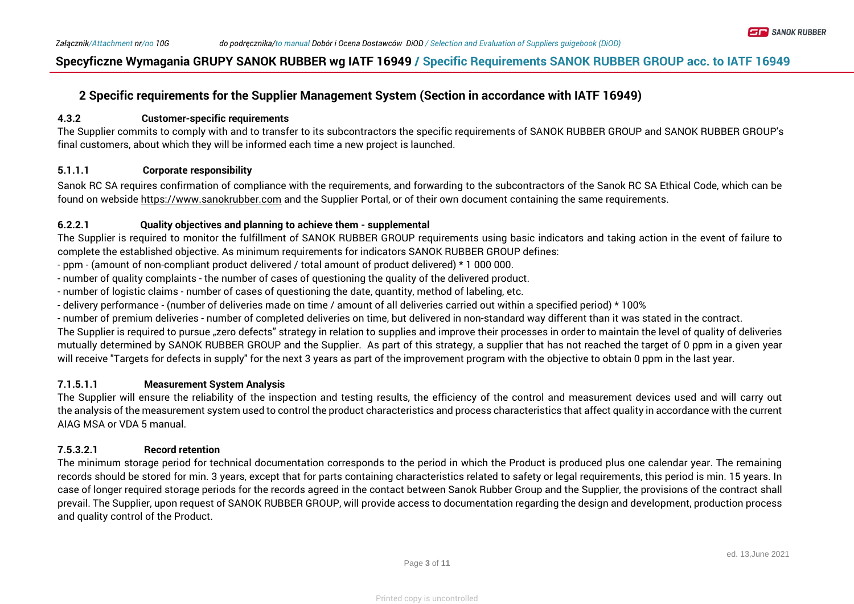## **2 Specific requirements for the Supplier Management System (Section in accordance with IATF 16949)**

#### **4.3.2 Customer-specific requirements**

The Supplier commits to comply with and to transfer to its subcontractors the specific requirements of SANOK RUBBER GROUP and SANOK RUBBER GROUP's final customers, about which they will be informed each time a new project is launched.

#### **5.1.1.1 Corporate responsibility**

Sanok RC SA requires confirmation of compliance with the requirements, and forwarding to the subcontractors of the Sanok RC SA Ethical Code, which can be found on webside [https://www.sanokrubber.com](https://www.sanokrubber.com/) and the Supplier Portal, or of their own document containing the same requirements.

#### **6.2.2.1 Quality objectives and planning to achieve them - supplemental**

The Supplier is required to monitor the fulfillment of SANOK RUBBER GROUP requirements using basic indicators and taking action in the event of failure to complete the established objective. As minimum requirements for indicators SANOK RUBBER GROUP defines:

- ppm - (amount of non-compliant product delivered / total amount of product delivered) \* 1 000 000.

- number of quality complaints the number of cases of questioning the quality of the delivered product.
- number of logistic claims number of cases of questioning the date, quantity, method of labeling, etc.
- delivery performance (number of deliveries made on time / amount of all deliveries carried out within a specified period) \* 100%

- number of premium deliveries - number of completed deliveries on time, but delivered in non-standard way different than it was stated in the contract.

The Supplier is required to pursue "zero defects" strategy in relation to supplies and improve their processes in order to maintain the level of quality of deliveries mutually determined by SANOK RUBBER GROUP and the Supplier. As part of this strategy, a supplier that has not reached the target of 0 ppm in a given year will receive "Targets for defects in supply" for the next 3 years as part of the improvement program with the objective to obtain 0 ppm in the last year.

#### **7.1.5.1.1 Measurement System Analysis**

The Supplier will ensure the reliability of the inspection and testing results, the efficiency of the control and measurement devices used and will carry out the analysis of the measurement system used to control the product characteristics and process characteristics that affect quality in accordance with the current AIAG MSA or VDA 5 manual.

#### **7.5.3.2.1 Record retention**

The minimum storage period for technical documentation corresponds to the period in which the Product is produced plus one calendar year. The remaining records should be stored for min. 3 years, except that for parts containing characteristics related to safety or legal requirements, this period is min. 15 years. In case of longer required storage periods for the records agreed in the contact between Sanok Rubber Group and the Supplier, the provisions of the contract shall prevail. The Supplier, upon request of SANOK RUBBER GROUP, will provide access to documentation regarding the design and development, production process and quality control of the Product.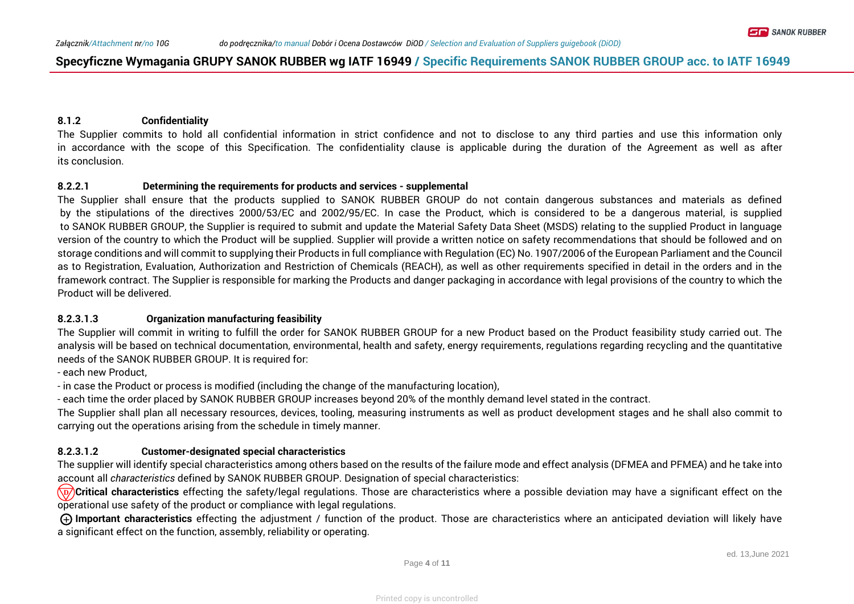#### **8.1.2 Confidentiality**

The Supplier commits to hold all confidential information in strict confidence and not to disclose to any third parties and use this information only in accordance with the scope of this Specification. The confidentiality clause is applicable during the duration of the Agreement as well as after its conclusion.

#### **8.2.2.1 Determining the requirements for products and services - supplemental**

The Supplier shall ensure that the products supplied to SANOK RUBBER GROUP do not contain dangerous substances and materials as defined by the stipulations of the directives 2000/53/EC and 2002/95/EC. In case the Product, which is considered to be a dangerous material, is supplied to SANOK RUBBER GROUP, the Supplier is required to submit and update the Material Safety Data Sheet (MSDS) relating to the supplied Product in language version of the country to which the Product will be supplied. Supplier will provide a written notice on safety recommendations that should be followed and on storage conditions and will commit to supplying their Products in full compliance with Regulation (EC) No. 1907/2006 of the European Parliament and the Council as to Registration, Evaluation, Authorization and Restriction of Chemicals (REACH), as well as other requirements specified in detail in the orders and in the framework contract. The Supplier is responsible for marking the Products and danger packaging in accordance with legal provisions of the country to which the Product will be delivered.

#### **8.2.3.1.3 Organization manufacturing feasibility**

The Supplier will commit in writing to fulfill the order for SANOK RUBBER GROUP for a new Product based on the Product feasibility study carried out. The analysis will be based on technical documentation, environmental, health and safety, energy requirements, regulations regarding recycling and the quantitative needs of the SANOK RUBBER GROUP. It is required for:

- each new Product,

- in case the Product or process is modified (including the change of the manufacturing location),

- each time the order placed by SANOK RUBBER GROUP increases beyond 20% of the monthly demand level stated in the contract.

The Supplier shall plan all necessary resources, devices, tooling, measuring instruments as well as product development stages and he shall also commit to carrying out the operations arising from the schedule in timely manner.

#### **8.2.3.1.2 Customer-designated special characteristics**

The supplier will identify special characteristics among others based on the results of the failure mode and effect analysis (DFMEA and PFMEA) and he take into account all *characteristics* defined by SANOK RUBBER GROUP. Designation of special characteristics:

**Critical characteristics** effecting the safety/legal regulations. Those are characteristics where a possible deviation may have a significant effect on the  $\overline{\nu}$ operational use safety of the product or compliance with legal regulations.

 **Important characteristics** effecting the adjustment / function of the product. Those are characteristics where an anticipated deviation will likely have **+** a significant effect on the function, assembly, reliability or operating.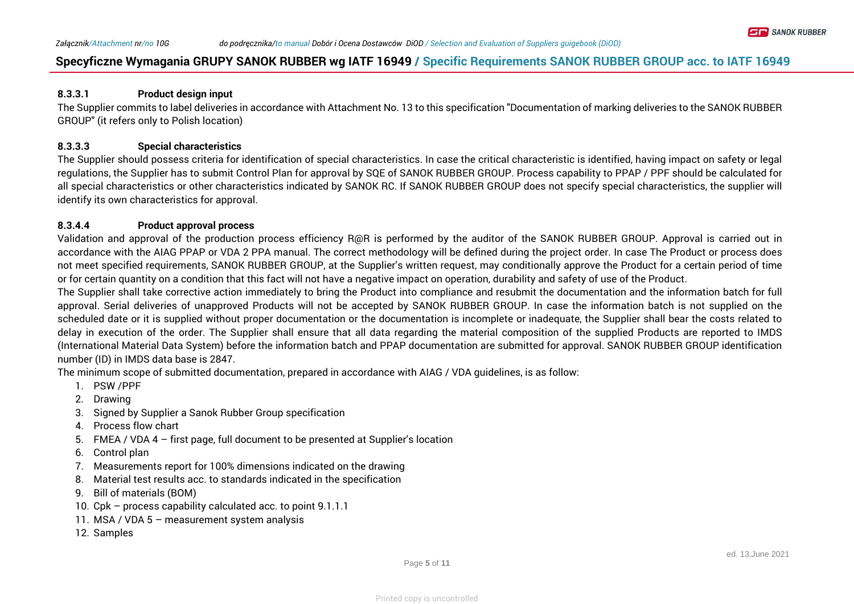#### **8.3.3.1 Product design input**

The Supplier commits to label deliveries in accordance with Attachment No. 13 to this specification "Documentation of marking deliveries to the SANOK RUBBER GROUP" (it refers only to Polish location)

#### **8.3.3.3 Special characteristics**

The Supplier should possess criteria for identification of special characteristics. In case the critical characteristic is identified, having impact on safety or legal regulations, the Supplier has to submit Control Plan for approval by SQE of SANOK RUBBER GROUP. Process capability to PPAP / PPF should be calculated for all special characteristics or other characteristics indicated by SANOK RC. If SANOK RUBBER GROUP does not specify special characteristics, the supplier will identify its own characteristics for approval.

#### **8.3.4.4 Product approval process**

Validation and approval of the production process efficiency R@R is performed by the auditor of the SANOK RUBBER GROUP. Approval is carried out in accordance with the AIAG PPAP or VDA 2 PPA manual. The correct methodology will be defined during the project order. In case The Product or process does not meet specified requirements, SANOK RUBBER GROUP, at the Supplier's written request, may conditionally approve the Product for a certain period of time or for certain quantity on a condition that this fact will not have a negative impact on operation, durability and safety of use of the Product.

The Supplier shall take corrective action immediately to bring the Product into compliance and resubmit the documentation and the information batch for full approval. Serial deliveries of unapproved Products will not be accepted by SANOK RUBBER GROUP. In case the information batch is not supplied on the scheduled date or it is supplied without proper documentation or the documentation is incomplete or inadequate, the Supplier shall bear the costs related to delay in execution of the order. The Supplier shall ensure that all data regarding the material composition of the supplied Products are reported to IMDS (International Material Data System) before the information batch and PPAP documentation are submitted for approval. SANOK RUBBER GROUP identification number (ID) in IMDS data base is 2847.

The minimum scope of submitted documentation, prepared in accordance with AIAG / VDA guidelines, is as follow:

- 1. PSW /PPF
- 2. Drawing
- 3. Signed by Supplier a Sanok Rubber Group specification
- 4. Process flow chart
- 5. FMEA / VDA 4 first page, full document to be presented at Supplier's location
- 6. Control plan
- 7. Measurements report for 100% dimensions indicated on the drawing
- 8. Material test results acc. to standards indicated in the specification
- 9. Bill of materials (BOM)
- 10. Cpk process capability calculated acc. to point 9.1.1.1
- 11. MSA / VDA 5 measurement system analysis
- 12. Samples

**ET B** SANOK RUBBER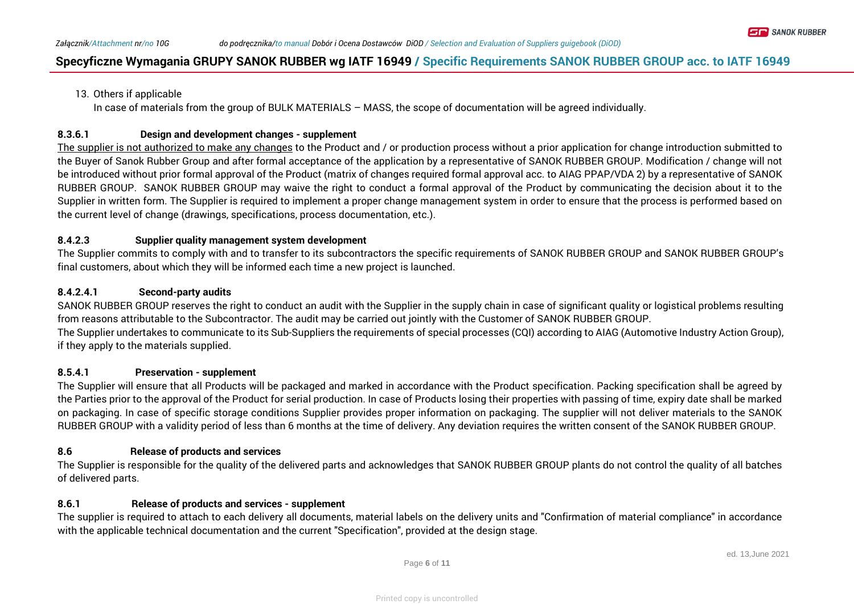#### 13. Others if applicable

In case of materials from the group of BULK MATERIALS – MASS, the scope of documentation will be agreed individually.

#### **8.3.6.1 Design and development changes - supplement**

The supplier is not authorized to make any changes to the Product and / or production process without a prior application for change introduction submitted to the Buyer of Sanok Rubber Group and after formal acceptance of the application by a representative of SANOK RUBBER GROUP. Modification / change will not be introduced without prior formal approval of the Product (matrix of changes required formal approval acc. to AIAG PPAP/VDA 2) by a representative of SANOK RUBBER GROUP. SANOK RUBBER GROUP may waive the right to conduct a formal approval of the Product by communicating the decision about it to the Supplier in written form. The Supplier is required to implement a proper change management system in order to ensure that the process is performed based on the current level of change (drawings, specifications, process documentation, etc.).

#### **8.4.2.3 Supplier quality management system development**

The Supplier commits to comply with and to transfer to its subcontractors the specific requirements of SANOK RUBBER GROUP and SANOK RUBBER GROUP's final customers, about which they will be informed each time a new project is launched.

#### **8.4.2.4.1 Second-party audits**

SANOK RUBBER GROUP reserves the right to conduct an audit with the Supplier in the supply chain in case of significant quality or logistical problems resulting from reasons attributable to the Subcontractor. The audit may be carried out jointly with the Customer of SANOK RUBBER GROUP. The Supplier undertakes to communicate to its Sub-Suppliers the requirements of special processes (CQI) according to AIAG (Automotive Industry Action Group), if they apply to the materials supplied.

#### **8.5.4.1 Preservation - supplement**

The Supplier will ensure that all Products will be packaged and marked in accordance with the Product specification. Packing specification shall be agreed by the Parties prior to the approval of the Product for serial production. In case of Products losing their properties with passing of time, expiry date shall be marked on packaging. In case of specific storage conditions Supplier provides proper information on packaging. The supplier will not deliver materials to the SANOK RUBBER GROUP with a validity period of less than 6 months at the time of delivery. Any deviation requires the written consent of the SANOK RUBBER GROUP.

#### **8.6 Release of products and services**

The Supplier is responsible for the quality of the delivered parts and acknowledges that SANOK RUBBER GROUP plants do not control the quality of all batches of delivered parts.

#### **8.6.1 Release of products and services - supplement**

The supplier is required to attach to each delivery all documents, material labels on the delivery units and "Confirmation of material compliance" in accordance with the applicable technical documentation and the current "Specification", provided at the design stage.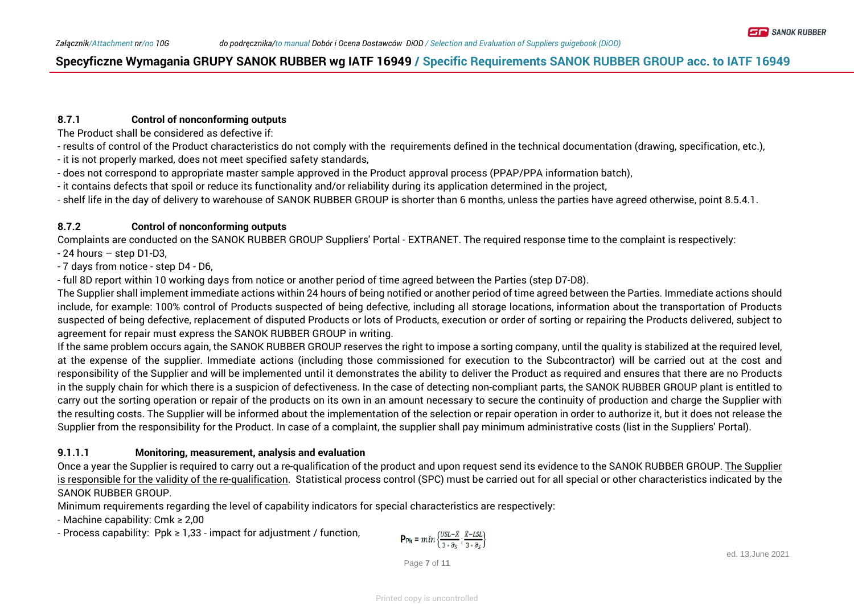#### **8.7.1 Control of nonconforming outputs**

The Product shall be considered as defective if:

- results of control of the Product characteristics do not comply with the requirements defined in the technical documentation (drawing, specification, etc.),
- it is not properly marked, does not meet specified safety standards,
- does not correspond to appropriate master sample approved in the Product approval process (PPAP/PPA information batch),
- it contains defects that spoil or reduce its functionality and/or reliability during its application determined in the project,
- shelf life in the day of delivery to warehouse of SANOK RUBBER GROUP is shorter than 6 months, unless the parties have agreed otherwise, point 8.5.4.1.

#### **8.7.2 Control of nonconforming outputs**

Complaints are conducted on the SANOK RUBBER GROUP Suppliers' Portal - EXTRANET. The required response time to the complaint is respectively:

- 24 hours – step D1-D3,

- 7 days from notice - step D4 - D6,

- full 8D report within 10 working days from notice or another period of time agreed between the Parties (step D7-D8).

The Supplier shall implement immediate actions within 24 hours of being notified or another period of time agreed between the Parties. Immediate actions should include, for example: 100% control of Products suspected of being defective, including all storage locations, information about the transportation of Products suspected of being defective, replacement of disputed Products or lots of Products, execution or order of sorting or repairing the Products delivered, subject to agreement for repair must express the SANOK RUBBER GROUP in writing.

If the same problem occurs again, the SANOK RUBBER GROUP reserves the right to impose a sorting company, until the quality is stabilized at the required level, at the expense of the supplier. Immediate actions (including those commissioned for execution to the Subcontractor) will be carried out at the cost and responsibility of the Supplier and will be implemented until it demonstrates the ability to deliver the Product as required and ensures that there are no Products in the supply chain for which there is a suspicion of defectiveness. In the case of detecting non-compliant parts, the SANOK RUBBER GROUP plant is entitled to carry out the sorting operation or repair of the products on its own in an amount necessary to secure the continuity of production and charge the Supplier with the resulting costs. The Supplier will be informed about the implementation of the selection or repair operation in order to authorize it, but it does not release the Supplier from the responsibility for the Product. In case of a complaint, the supplier shall pay minimum administrative costs (list in the Suppliers' Portal).

#### **9.1.1.1 Monitoring, measurement, analysis and evaluation**

Once a year the Supplier is required to carry out a re-qualification of the product and upon request send its evidence to the SANOK RUBBER GROUP. The Supplier is responsible for the validity of the re-qualification. Statistical process control (SPC) must be carried out for all special or other characteristics indicated by the SANOK RUBBER GROUP.

Minimum requirements regarding the level of capability indicators for special characteristics are respectively:

- Machine capability: Cmk ≥ 2,00

- Process capability: Ppk ≥ 1,33 - impact for adjustment / function,

$$
\mathsf{Pp_k} = min\left\{\frac{USL - \bar{X}}{3*\partial_S};\frac{\bar{X} - LSL}{3*\partial_S}\right\}
$$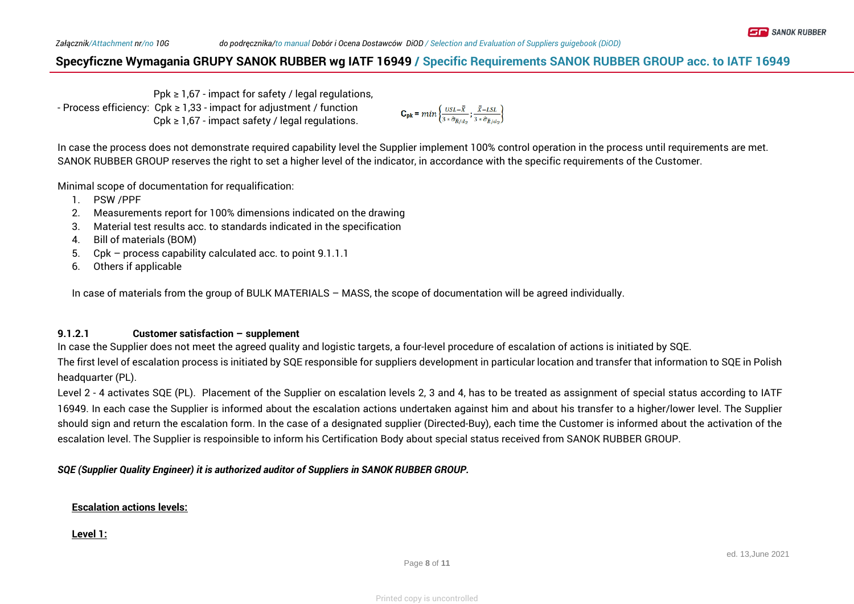Ppk  $\geq 1.67$  - impact for safety / legal regulations, - Process efficiency: Cpk ≥ 1,33 - impact for adjustment / function  $Cpk \geq 1,67$  - impact safety / legal regulations.

$$
\mathbf{C_{pk}} = min \left\{ \frac{USL - \bar{\bar{X}}}{3 \cdot \hat{\sigma}_{\bar{R}/d_2}}; \frac{\bar{\bar{X}} - LSL}{3 \cdot \hat{\sigma}_{\bar{R}/d_2}} \right\}
$$

In case the process does not demonstrate required capability level the Supplier implement 100% control operation in the process until requirements are met. SANOK RUBBER GROUP reserves the right to set a higher level of the indicator, in accordance with the specific requirements of the Customer.

Minimal scope of documentation for requalification:

- 1. PSW /PPF
- 2. Measurements report for 100% dimensions indicated on the drawing
- 3. Material test results acc. to standards indicated in the specification
- 4. Bill of materials (BOM)
- 5. Cpk process capability calculated acc. to point 9.1.1.1
- 6. Others if applicable

In case of materials from the group of BULK MATERIALS – MASS, the scope of documentation will be agreed individually.

#### **9.1.2.1 Customer satisfaction – supplement**

In case the Supplier does not meet the agreed quality and logistic targets, a four-level procedure of escalation of actions is initiated by SQE. The first level of escalation process is initiated by SQE responsible for suppliers development in particular location and transfer that information to SQE in Polish headquarter (PL).

Level 2 - 4 activates SQE (PL). Placement of the Supplier on escalation levels 2, 3 and 4, has to be treated as assignment of special status according to IATF 16949. In each case the Supplier is informed about the escalation actions undertaken against him and about his transfer to a higher/lower level. The Supplier should sign and return the escalation form. In the case of a designated supplier (Directed-Buy), each time the Customer is informed about the activation of the escalation level. The Supplier is respoinsible to inform his Certification Body about special status received from SANOK RUBBER GROUP.

*SQE (Supplier Quality Engineer) it is authorized auditor of Suppliers in SANOK RUBBER GROUP.*

#### **Escalation actions levels:**

#### **Level 1:**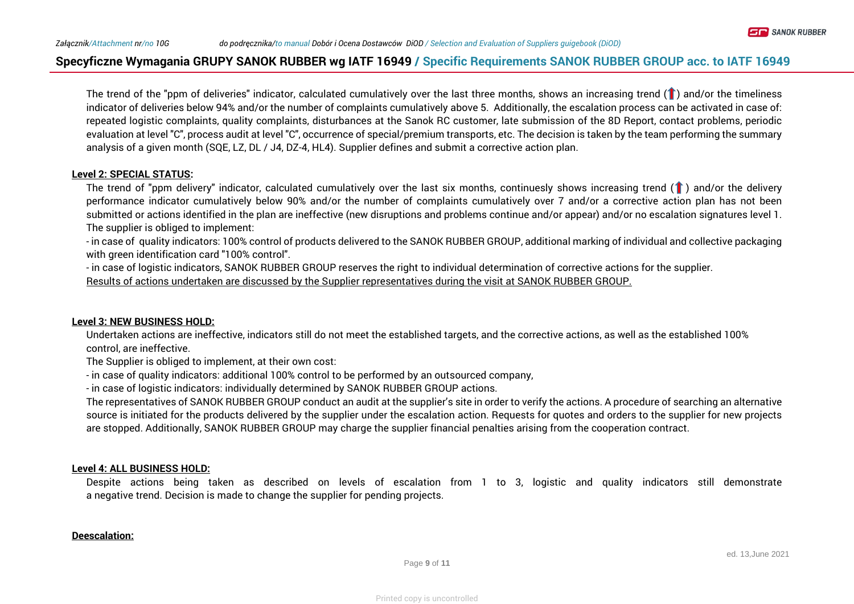The trend of the "ppm of deliveries" indicator, calculated cumulatively over the last three months, shows an increasing trend  $(1)$  and/or the timeliness indicator of deliveries below 94% and/or the number of complaints cumulatively above 5. Additionally, the escalation process can be activated in case of: repeated logistic complaints, quality complaints, disturbances at the Sanok RC customer, late submission of the 8D Report, contact problems, periodic evaluation at level "C", process audit at level "C", occurrence of special/premium transports, etc. The decision is taken by the team performing the summary analysis of a given month (SQE, LZ, DL / J4, DZ-4, HL4). Supplier defines and submit a corrective action plan.

#### **Level 2: SPECIAL STATUS:**

The trend of "ppm delivery" indicator, calculated cumulatively over the last six months, continuesly shows increasing trend  $($   $)$  and/or the delivery performance indicator cumulatively below 90% and/or the number of complaints cumulatively over 7 and/or a corrective action plan has not been submitted or actions identified in the plan are ineffective (new disruptions and problems continue and/or appear) and/or no escalation signatures level 1. The supplier is obliged to implement:

- in case of quality indicators: 100% control of products delivered to the SANOK RUBBER GROUP, additional marking of individual and collective packaging with green identification card "100% control".

- in case of logistic indicators, SANOK RUBBER GROUP reserves the right to individual determination of corrective actions for the supplier. Results of actions undertaken are discussed by the Supplier representatives during the visit at SANOK RUBBER GROUP.

#### **Level 3: NEW BUSINESS HOLD:**

Undertaken actions are ineffective, indicators still do not meet the established targets, and the corrective actions, as well as the established 100% control, are ineffective.

The Supplier is obliged to implement, at their own cost:

- in case of quality indicators: additional 100% control to be performed by an outsourced company,

- in case of logistic indicators: individually determined by SANOK RUBBER GROUP actions.

The representatives of SANOK RUBBER GROUP conduct an audit at the supplier's site in order to verify the actions. A procedure of searching an alternative source is initiated for the products delivered by the supplier under the escalation action. Requests for quotes and orders to the supplier for new projects are stopped. Additionally, SANOK RUBBER GROUP may charge the supplier financial penalties arising from the cooperation contract.

#### **Level 4: ALL BUSINESS HOLD:**

Despite actions being taken as described on levels of escalation from 1 to 3, logistic and quality indicators still demonstrate a negative trend. Decision is made to change the supplier for pending projects.

#### **Deescalation:**

**ET B** SANOK RUBBER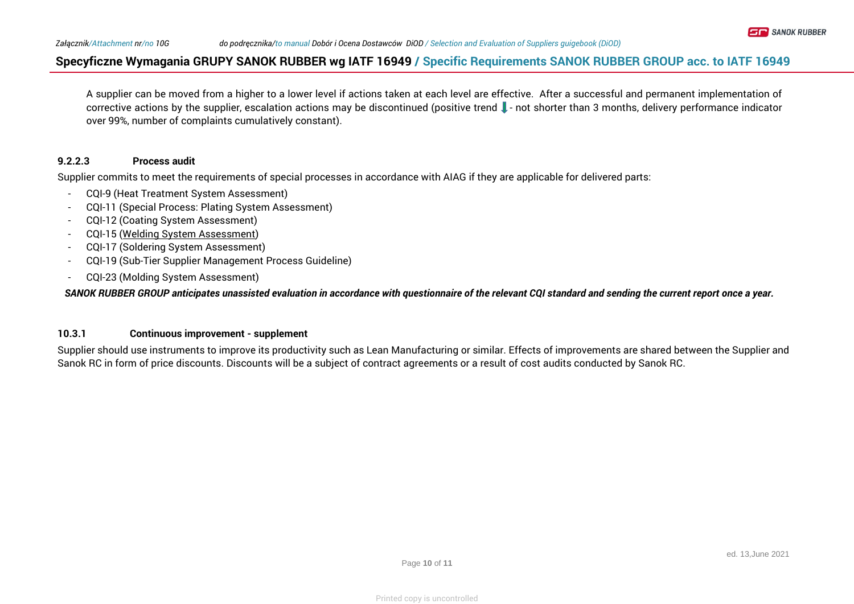A supplier can be moved from a higher to a lower level if actions taken at each level are effective. After a successful and permanent implementation of corrective actions by the supplier, escalation actions may be discontinued (positive trend - not shorter than 3 months, delivery performance indicator over 99%, number of complaints cumulatively constant).

#### **9.2.2.3 Process audit**

Supplier commits to meet the requirements of special processes in accordance with AIAG if they are applicable for delivered parts:

- CQI-9 (Heat Treatment System Assessment)
- CQI-11 (Special Process: Plating System Assessment)
- CQI-12 (Coating System Assessment)
- CQI-15 ([Welding System Assessment\)](http://www.google.pl/url?sa=t&rct=j&q=&esrc=s&source=web&cd=4&cad=rja&uact=8&ved=0ahUKEwjn___Gtd_QAhWDCSwKHVuYDzAQFggvMAM&url=http://allaboutmetallurgy.com/wp/wp-content/uploads/CQI-15_Welding_System_Assessment.pdf&usg=AFQjCNFC80S-8yY0JbIdt1R_ALx9ZeycvA)
- CQI-17 (Soldering System Assessment)
- CQI-19 (Sub-Tier Supplier Management Process Guideline)
- CQI-23 (Molding System Assessment)

*SANOK RUBBER GROUP anticipates unassisted evaluation in accordance with questionnaire of the relevant CQI standard and sending the current report once a year.*

#### **10.3.1 Continuous improvement - supplement**

Supplier should use instruments to improve its productivity such as Lean Manufacturing or similar. Effects of improvements are shared between the Supplier and Sanok RC in form of price discounts. Discounts will be a subject of contract agreements or a result of cost audits conducted by Sanok RC.